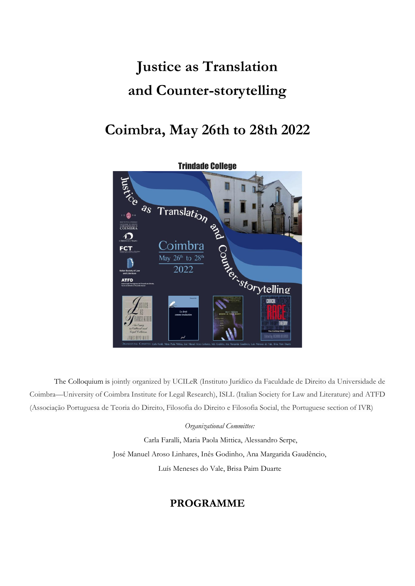# **Justice as Translation and Counter-storytelling**

## **Coimbra, May 26th to 28th 2022**



The Colloquium is jointly organized by UCILeR (Instituto Jurídico da Faculdade de Direito da Universidade de Coimbra—University of Coimbra Institute for Legal Research), ISLL (Italian Society for Law and Literature) and ATFD (Associação Portuguesa de Teoria do Direito, Filosofia do Direito e Filosofia Social, the Portuguese section of IVR)

#### *Organizational Committee:*

Carla Faralli, Maria Paola Mittica, Alessandro Serpe, José Manuel Aroso Linhares, Inês Godinho, Ana Margarida Gaudêncio, Luís Meneses do Vale, Brisa Paim Duarte

### **PROGRAMME**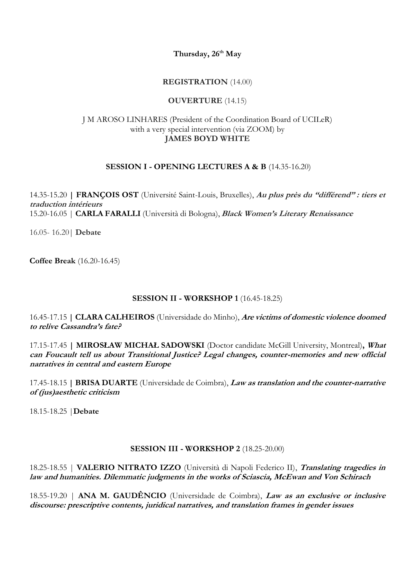**Thursday, 26 th May**

#### **REGISTRATION** (14.00)

#### **OUVERTURE** (14.15)

#### J M AROSO LINHARES (President of the Coordination Board of UCILeR) with a very special intervention (via ZOOM) by **JAMES BOYD WHITE**

#### **SESSION I - OPENING LECTURES A & B** (14.35-16.20)

14.35-15.20 **| FRANÇOIS OST** (Université Saint-Louis, Bruxelles), **Au plus près du "différend" : tiers et traduction intérieurs** 15.20-16.05 | **CARLA FARALLI** (Università di Bologna), **Black Women's Literary Renaissance**

16.05- 16.20| **Debate**

**Coffee Break** (16.20-16.45)

#### **SESSION II - WORKSHOP 1** (16.45-18.25)

16.45-17.15 **| CLARA CALHEIROS** (Universidade do Minho), **Are victims of domestic violence doomed to relive Cassandra's fate?**

17.15-17.45 **| MIROSŁAW MICHAŁ SADOWSKI** (Doctor candidate McGill University, Montreal)**, What can Foucault tell us about Transitional Justice? Legal changes, counter-memories and new official narratives in central and eastern Europe** 

17.45-18.15 **| BRISA DUARTE** (Universidade de Coimbra), **Law as translation and the counter-narrative of (jus)aesthetic criticism**

18.15-18.25 |**Debate**

#### **SESSION III - WORKSHOP 2** (18.25-20.00)

18.25-18.55 | **VALERIO NITRATO IZZO** (Università di Napoli Federico II), **Translating tragedies in law and humanities. Dilemmatic judgments in the works of Sciascia, McEwan and Von Schirach**

18.55-19.20 | **ANA M. GAUDÊNCIO** (Universidade de Coimbra), **Law as an exclusive or inclusive discourse: prescriptive contents, juridical narratives, and translation frames in gender issues**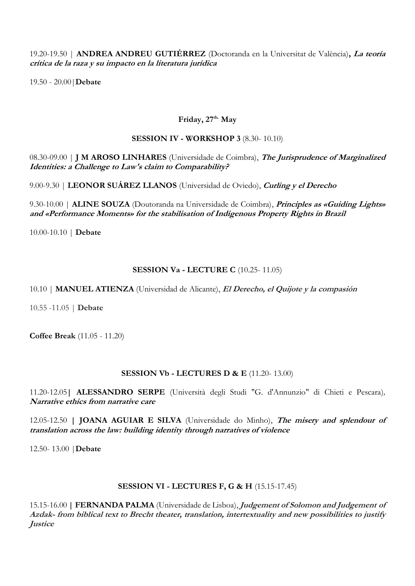19.20-19.50 | **ANDREA ANDREU GUTIÉRREZ** (Doctoranda en la Universitat de València)**, La teoría crítica de la raza y su impacto en la literatura jurídica**

19.50 - 20.00|**Debate**

#### **Friday, 27 th. May**

#### **SESSION IV - WORKSHOP 3** (8.30- 10.10)

08.30-09.00 | **J M AROSO LINHARES** (Universidade de Coimbra), **The Jurisprudence of Marginalized Identities: a Challenge to Law's claim to Comparability?**

9.00-9.30 | **LEONOR SUÁREZ LLANOS** (Universidad de Oviedo), **Curling y el Derecho** 

9.30-10.00 | **ALINE SOUZA** (Doutoranda na Universidade de Coimbra), **Principles as «Guiding Lights» and «Performance Moments» for the stabilisation of Indigenous Property Rights in Brazil**

10.00-10.10 | **Debate**

#### **SESSION Va - LECTURE C** (10.25- 11.05)

10.10 | **MANUEL ATIENZA** (Universidad de Alicante), **El Derecho, el Quijote y la compasión**

10.55 -11.05 | **Debate**

**Coffee Break** (11.05 - 11.20)

#### **SESSION Vb - LECTURES D & E** (11.20- 13.00)

11.20-12.05**| ALESSANDRO SERPE** (Università degli Studi "G. d'Annunzio" di Chieti e Pescara)*,* **Narrative ethics from narrative care**

12.05-12.50 **| JOANA AGUIAR E SILVA** (Universidade do Minho), **The misery and splendour of translation across the law: building identity through narratives of violence**

12.50- 13.00 |**Debate**

#### **SESSION VI - LECTURES F, G & H** (15.15-17.45)

15.15-16.00 **| FERNANDA PALMA** (Universidade de Lisboa), **Judgement of Solomon and Judgement of Azdak- from biblical text to Brecht theater, translation, intertextuality and new possibilities to justify Justice**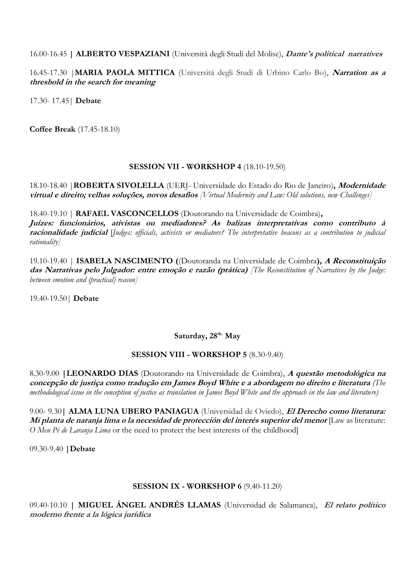16.00-16.45 **| ALBERTO VESPAZIANI** (Università degli Studi del Molise), **Dante's political narratives**

16.45-17.30 |**MARIA PAOLA MITTICA** (Università degli Studi di Urbino Carlo Bo), **Narration as a threshold in the search for meaning**

17.30- 17.45| **Debate**

**Coffee Break** (17.45-18.10)

#### **SESSION VII - WORKSHOP 4** (18.10-19.50)

18.10-18.40 |**ROBERTA SIVOLELLA** (UERJ- Universidade do Estado do Rio de Janeiro)**, Modernidade virtual e direito; velhas soluções, novos desafios** *[Virtual Modernity and Law: Old solutions, new Challenges]* 

18.40-19.10 | **RAFAEL VASCONCELLOS** (Doutorando na Universidade de Coimbra)**, Juízes: funcionários, ativistas ou mediadores? As balizas interpretativas como contributo à racionalidade judicial** [*Judges: officials, activists or mediators? The interpretative beacons as a contribution to judicial rationality]*

19.10-19.40 | **ISABELA NASCIMENTO (**(Doutoranda na Universidade de Coimbra**), A Reconstituição das Narrativas pelo Julgador: entre emoção e razão (prática)** *[The Reconstitution of Narratives by the Judge: between emotion and (practical) reason]*

19.40-19.50| **Debate**

#### **Saturday, 28th. May**

#### **SESSION VIII - WORKSHOP 5** (8.30-9.40)

8.30-9.00 **|LEONARDO DIAS** (Doutorando na Universidade de Coimbra), **A questão metodológica na concepção de justiça como tradução em James Boyd White e a abordagem no direito e literatura** *(The methodological issue in the conception of justice as translation in James Boyd White and the approach in the law and literature)*

9.00- 9.30**| ALMA LUNA UBERO PANIAGUA** (Universidad de Oviedo), **El Derecho como literatura: Mi planta de naranja lima o la necesidad de protección del interés superior del menor** [Law as literature: *O Meu Pé de Laranja Lima* or the need to protect the best interests of the childhood]

09.30-9.40 **|Debate**

#### **SESSION IX - WORKSHOP 6** (9.40-11.20)

09.40-10.10 **| MIGUEL ÁNGEL ANDRÉS LLAMAS** (Universidad de Salamanca), **El relato político moderno frente a la lógica jurídica**